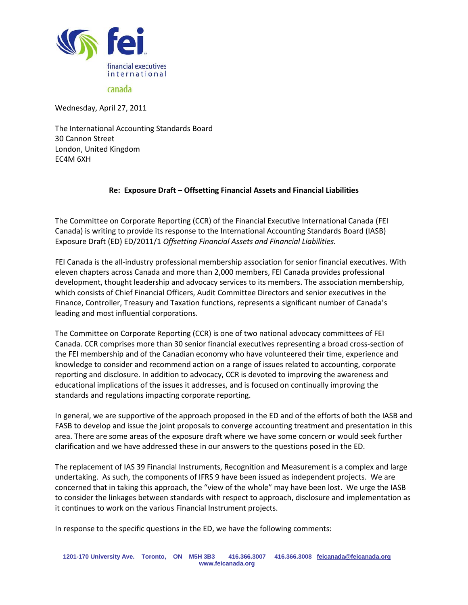

canada

Wednesday, April 27, 2011

The International Accounting Standards Board 30 Cannon Street London, United Kingdom EC4M 6XH

# **Re: Exposure Draft – Offsetting Financial Assets and Financial Liabilities**

The Committee on Corporate Reporting (CCR) of the Financial Executive International Canada (FEI Canada) is writing to provide its response to the International Accounting Standards Board (IASB) Exposure Draft (ED) ED/2011/1 *Offsetting Financial Assets and Financial Liabilities.*

FEI Canada is the all-industry professional membership association for senior financial executives. With eleven chapters across Canada and more than 2,000 members, FEI Canada provides professional development, thought leadership and advocacy services to its members. The association membership, which consists of Chief Financial Officers, Audit Committee Directors and senior executives in the Finance, Controller, Treasury and Taxation functions, represents a significant number of Canada's leading and most influential corporations.

The Committee on Corporate Reporting (CCR) is one of two national advocacy committees of FEI Canada. CCR comprises more than 30 senior financial executives representing a broad cross-section of the FEI membership and of the Canadian economy who have volunteered their time, experience and knowledge to consider and recommend action on a range of issues related to accounting, corporate reporting and disclosure. In addition to advocacy, CCR is devoted to improving the awareness and educational implications of the issues it addresses, and is focused on continually improving the standards and regulations impacting corporate reporting.

In general, we are supportive of the approach proposed in the ED and of the efforts of both the IASB and FASB to develop and issue the joint proposals to converge accounting treatment and presentation in this area. There are some areas of the exposure draft where we have some concern or would seek further clarification and we have addressed these in our answers to the questions posed in the ED.

The replacement of IAS 39 Financial Instruments, Recognition and Measurement is a complex and large undertaking. As such, the components of IFRS 9 have been issued as independent projects. We are concerned that in taking this approach, the "view of the whole" may have been lost. We urge the IASB to consider the linkages between standards with respect to approach, disclosure and implementation as it continues to work on the various Financial Instrument projects.

In response to the specific questions in the ED, we have the following comments: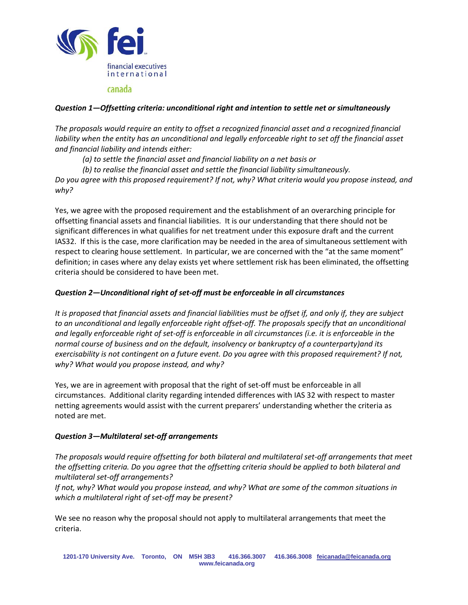

# *Question 1—Offsetting criteria: unconditional right and intention to settle net or simultaneously*

*The proposals would require an entity to offset a recognized financial asset and a recognized financial liability when the entity has an unconditional and legally enforceable right to set off the financial asset and financial liability and intends either:*

*(a) to settle the financial asset and financial liability on a net basis or*

*(b) to realise the financial asset and settle the financial liability simultaneously.*

*Do you agree with this proposed requirement? If not, why? What criteria would you propose instead, and why?*

Yes, we agree with the proposed requirement and the establishment of an overarching principle for offsetting financial assets and financial liabilities. It is our understanding that there should not be significant differences in what qualifies for net treatment under this exposure draft and the current IAS32. If this is the case, more clarification may be needed in the area of simultaneous settlement with respect to clearing house settlement. In particular, we are concerned with the "at the same moment" definition; in cases where any delay exists yet where settlement risk has been eliminated, the offsetting criteria should be considered to have been met.

## *Question 2—Unconditional right of set-off must be enforceable in all circumstances*

*It is proposed that financial assets and financial liabilities must be offset if, and only if, they are subject to an unconditional and legally enforceable right offset-off. The proposals specify that an unconditional and legally enforceable right of set-off is enforceable in all circumstances (i.e. it is enforceable in the normal course of business and on the default, insolvency or bankruptcy of a counterparty)and its exercisability is not contingent on a future event. Do you agree with this proposed requirement? If not, why? What would you propose instead, and why?*

Yes, we are in agreement with proposal that the right of set-off must be enforceable in all circumstances. Additional clarity regarding intended differences with IAS 32 with respect to master netting agreements would assist with the current preparers' understanding whether the criteria as noted are met.

## *Question 3—Multilateral set-off arrangements*

*The proposals would require offsetting for both bilateral and multilateral set-off arrangements that meet the offsetting criteria. Do you agree that the offsetting criteria should be applied to both bilateral and multilateral set-off arrangements?*

*If not, why? What would you propose instead, and why? What are some of the common situations in which a multilateral right of set-off may be present?*

We see no reason why the proposal should not apply to multilateral arrangements that meet the criteria.